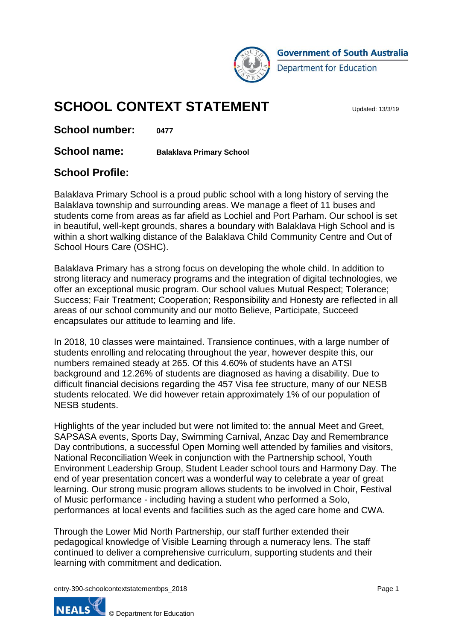

# **SCHOOL CONTEXT STATEMENT**

**School number: 0477**

**School name: Balaklava Primary School**

#### **School Profile:**

Balaklava Primary School is a proud public school with a long history of serving the Balaklava township and surrounding areas. We manage a fleet of 11 buses and students come from areas as far afield as Lochiel and Port Parham. Our school is set in beautiful, well-kept grounds, shares a boundary with Balaklava High School and is within a short walking distance of the Balaklava Child Community Centre and Out of School Hours Care (OSHC).

Balaklava Primary has a strong focus on developing the whole child. In addition to strong literacy and numeracy programs and the integration of digital technologies, we offer an exceptional music program. Our school values Mutual Respect; Tolerance; Success; Fair Treatment; Cooperation; Responsibility and Honesty are reflected in all areas of our school community and our motto Believe, Participate, Succeed encapsulates our attitude to learning and life.

In 2018, 10 classes were maintained. Transience continues, with a large number of students enrolling and relocating throughout the year, however despite this, our numbers remained steady at 265. Of this 4.60% of students have an ATSI background and 12.26% of students are diagnosed as having a disability. Due to difficult financial decisions regarding the 457 Visa fee structure, many of our NESB students relocated. We did however retain approximately 1% of our population of NESB students.

Highlights of the year included but were not limited to: the annual Meet and Greet, SAPSASA events, Sports Day, Swimming Carnival, Anzac Day and Remembrance Day contributions, a successful Open Morning well attended by families and visitors, National Reconciliation Week in conjunction with the Partnership school, Youth Environment Leadership Group, Student Leader school tours and Harmony Day. The end of year presentation concert was a wonderful way to celebrate a year of great learning. Our strong music program allows students to be involved in Choir, Festival of Music performance - including having a student who performed a Solo, performances at local events and facilities such as the aged care home and CWA.

Through the Lower Mid North Partnership, our staff further extended their pedagogical knowledge of Visible Learning through a numeracy lens. The staff continued to deliver a comprehensive curriculum, supporting students and their learning with commitment and dedication.

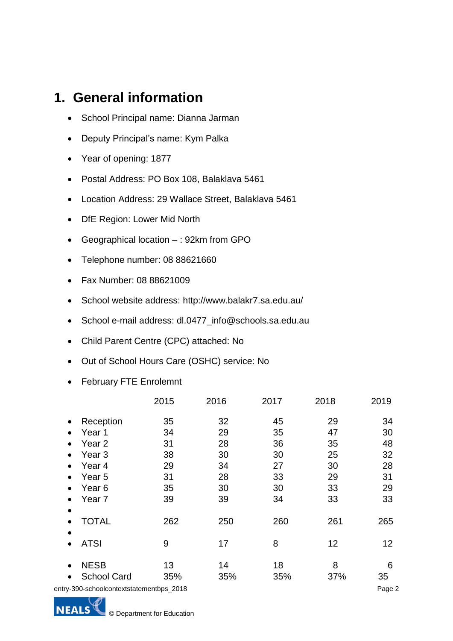### **1. General information**

- School Principal name: Dianna Jarman
- Deputy Principal's name: Kym Palka
- Year of opening: 1877
- Postal Address: PO Box 108, Balaklava 5461
- Location Address: 29 Wallace Street, Balaklava 5461
- DfE Region: Lower Mid North
- Geographical location : 92km from GPO
- Telephone number: 08 88621660
- Fax Number: 08 88621009
- School website address: http://www.balakr7.sa.edu.au/
- School e-mail address: dl.0477 info@schools.sa.edu.au
- Child Parent Centre (CPC) attached: No
- Out of School Hours Care (OSHC) service: No
- February FTE Enrolemnt

|                                       | 2015 | 2016 | 2017 | 2018 | 2019   |
|---------------------------------------|------|------|------|------|--------|
| Reception<br>$\bullet$                | 35   | 32   | 45   | 29   | 34     |
| Year 1                                | 34   | 29   | 35   | 47   | 30     |
| Year <sub>2</sub>                     | 31   | 28   | 36   | 35   | 48     |
| Year 3                                | 38   | 30   | 30   | 25   | 32     |
| Year 4                                | 29   | 34   | 27   | 30   | 28     |
| Year 5                                | 31   | 28   | 33   | 29   | 31     |
| Year <sub>6</sub>                     | 35   | 30   | 30   | 33   | 29     |
| Year <sub>7</sub>                     | 39   | 39   | 34   | 33   | 33     |
|                                       |      |      |      |      |        |
| <b>TOTAL</b>                          | 262  | 250  | 260  | 261  | 265    |
|                                       |      |      |      |      |        |
| <b>ATSI</b>                           | 9    | 17   | 8    | 12   | 12     |
| <b>NESB</b><br>$\bullet$              | 13   | 14   | 18   | 8    | 6      |
| <b>School Card</b>                    | 35%  | 35%  | 35%  | 37%  | 35     |
| ry-390-schoolcontextstatementbps_2018 |      |      |      |      | Page 2 |

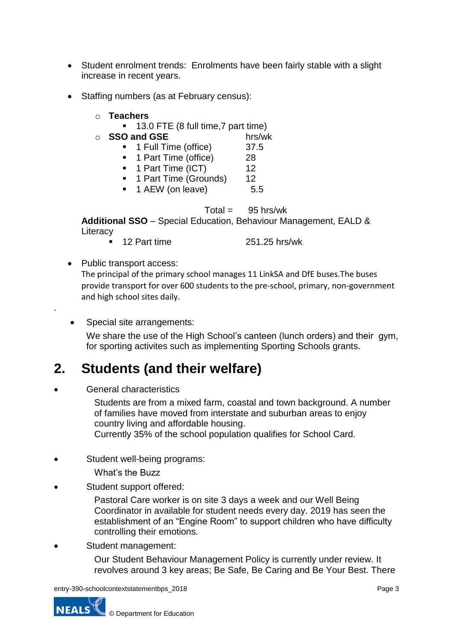- Student enrolment trends: Enrolments have been fairly stable with a slight increase in recent years.
- Staffing numbers (as at February census):
	- o **Teachers**
		- 13.0 FTE (8 full time, 7 part time)
	-
	- o **SSO and GSE** hrs/wk **n** 1 Full Time (office) 37.5 <sup>1</sup> 1 Full Time (office)
		- 1 Part Time (office) 28
		- 1 Part Time (ICT) 12
		- **1 Part Time (Grounds) 12**
		- 1 AEW (on leave) 5.5

 $Total = 95 hrs/wk$ 

**Additional SSO** – Special Education, Behaviour Management, EALD & **Literacy** 

- 12 Part time 251.25 hrs/wk
- Public transport access:

The principal of the primary school manages 11 LinkSA and DfE buses.The buses provide transport for over 600 students to the pre-school, primary, non-government and high school sites daily.

Special site arrangements:

We share the use of the High School's canteen (lunch orders) and their gym, for sporting activites such as implementing Sporting Schools grants.

#### **2. Students (and their welfare)**

General characteristics

.

Students are from a mixed farm, coastal and town background. A number of families have moved from interstate and suburban areas to enjoy country living and affordable housing. Currently 35% of the school population qualifies for School Card.

Student well-being programs:

What's the Buzz

Student support offered:

Pastoral Care worker is on site 3 days a week and our Well Being Coordinator in available for student needs every day. 2019 has seen the establishment of an "Engine Room" to support children who have difficulty controlling their emotions.

Student management:

Our Student Behaviour Management Policy is currently under review. It revolves around 3 key areas; Be Safe, Be Caring and Be Your Best. There

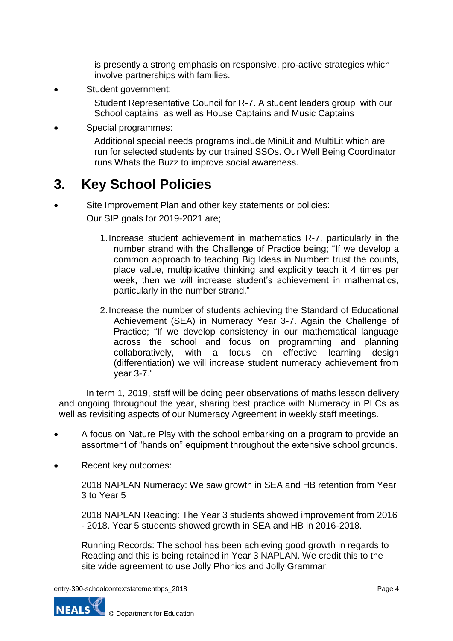is presently a strong emphasis on responsive, pro-active strategies which involve partnerships with families.

Student government:

Student Representative Council for R-7. A student leaders group with our School captains as well as House Captains and Music Captains

Special programmes:

Additional special needs programs include MiniLit and MultiLit which are run for selected students by our trained SSOs. Our Well Being Coordinator runs Whats the Buzz to improve social awareness.

### **3. Key School Policies**

 Site Improvement Plan and other key statements or policies: Our SIP goals for 2019-2021 are;

- 1.Increase student achievement in mathematics R-7, particularly in the number strand with the Challenge of Practice being; "If we develop a common approach to teaching Big Ideas in Number: trust the counts, place value, multiplicative thinking and explicitly teach it 4 times per week, then we will increase student's achievement in mathematics, particularly in the number strand."
- 2.Increase the number of students achieving the Standard of Educational Achievement (SEA) in Numeracy Year 3-7. Again the Challenge of Practice; "If we develop consistency in our mathematical language across the school and focus on programming and planning collaboratively, with a focus on effective learning design (differentiation) we will increase student numeracy achievement from year 3-7."

In term 1, 2019, staff will be doing peer observations of maths lesson delivery and ongoing throughout the year, sharing best practice with Numeracy in PLCs as well as revisiting aspects of our Numeracy Agreement in weekly staff meetings.

- A focus on Nature Play with the school embarking on a program to provide an assortment of "hands on" equipment throughout the extensive school grounds.
- Recent key outcomes:

2018 NAPLAN Numeracy: We saw growth in SEA and HB retention from Year 3 to Year 5

2018 NAPLAN Reading: The Year 3 students showed improvement from 2016 - 2018. Year 5 students showed growth in SEA and HB in 2016-2018.

Running Records: The school has been achieving good growth in regards to Reading and this is being retained in Year 3 NAPLAN. We credit this to the site wide agreement to use Jolly Phonics and Jolly Grammar.

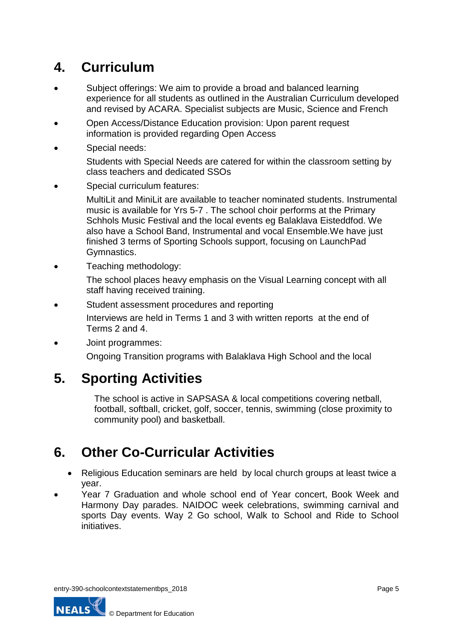## **4. Curriculum**

- Subject offerings: We aim to provide a broad and balanced learning experience for all students as outlined in the Australian Curriculum developed and revised by ACARA. Specialist subjects are Music, Science and French
- Open Access/Distance Education provision: Upon parent request information is provided regarding Open Access
- Special needs:

Students with Special Needs are catered for within the classroom setting by class teachers and dedicated SSOs

Special curriculum features:

MultiLit and MiniLit are available to teacher nominated students. Instrumental music is available for Yrs 5-7 . The school choir performs at the Primary Schhols Music Festival and the local events eg Balaklava Eisteddfod. We also have a School Band, Instrumental and vocal Ensemble.We have just finished 3 terms of Sporting Schools support, focusing on LaunchPad Gymnastics.

Teaching methodology:

The school places heavy emphasis on the Visual Learning concept with all staff having received training.

Student assessment procedures and reporting

Interviews are held in Terms 1 and 3 with written reports at the end of Terms 2 and 4.

Joint programmes:

Ongoing Transition programs with Balaklava High School and the local

### **5. Sporting Activities**

The school is active in SAPSASA & local competitions covering netball, football, softball, cricket, golf, soccer, tennis, swimming (close proximity to community pool) and basketball.

### **6. Other Co-Curricular Activities**

- Religious Education seminars are held by local church groups at least twice a year.
- Year 7 Graduation and whole school end of Year concert, Book Week and Harmony Day parades. NAIDOC week celebrations, swimming carnival and sports Day events. Way 2 Go school, Walk to School and Ride to School initiatives.

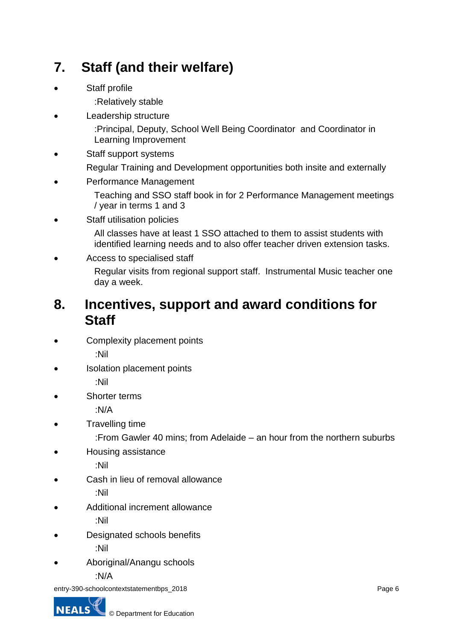# **7. Staff (and their welfare)**

Staff profile

:Relatively stable

Leadership structure

:Principal, Deputy, School Well Being Coordinator and Coordinator in Learning Improvement

Staff support systems

Regular Training and Development opportunities both insite and externally

Performance Management

Teaching and SSO staff book in for 2 Performance Management meetings / year in terms 1 and 3

• Staff utilisation policies

All classes have at least 1 SSO attached to them to assist students with identified learning needs and to also offer teacher driven extension tasks.

Access to specialised staff

Regular visits from regional support staff. Instrumental Music teacher one day a week.

#### **8. Incentives, support and award conditions for Staff**

- Complexity placement points :Nil
- Isolation placement points :Nil
- Shorter terms

:N/A

Travelling time

:From Gawler 40 mins; from Adelaide – an hour from the northern suburbs

Housing assistance

:Nil

Cash in lieu of removal allowance

:Nil

Additional increment allowance

:Nil

- Designated schools benefits :Nil
- Aboriginal/Anangu schools :N/A

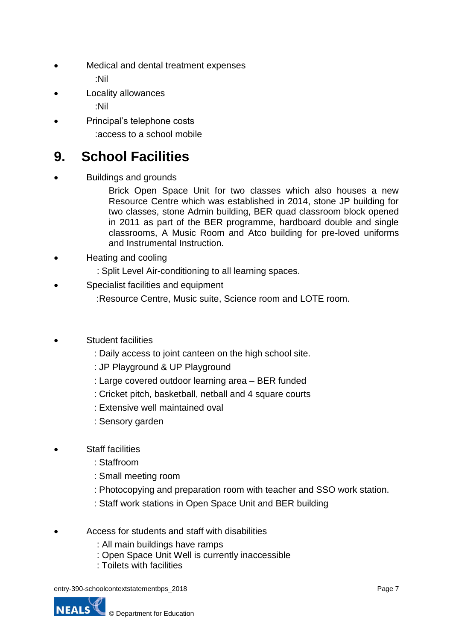Medical and dental treatment expenses

:Nil

- Locality allowances
	- :Nil
- Principal's telephone costs :access to a school mobile

# **9. School Facilities**

Buildings and grounds

Brick Open Space Unit for two classes which also houses a new Resource Centre which was established in 2014, stone JP building for two classes, stone Admin building, BER quad classroom block opened in 2011 as part of the BER programme, hardboard double and single classrooms, A Music Room and Atco building for pre-loved uniforms and Instrumental Instruction.

- Heating and cooling
	- : Split Level Air-conditioning to all learning spaces.
- Specialist facilities and equipment
	- :Resource Centre, Music suite, Science room and LOTE room.
- Student facilities
	- : Daily access to joint canteen on the high school site.
	- : JP Playground & UP Playground
	- : Large covered outdoor learning area BER funded
	- : Cricket pitch, basketball, netball and 4 square courts
	- : Extensive well maintained oval
	- : Sensory garden
- Staff facilities
	- : Staffroom
	- : Small meeting room
	- : Photocopying and preparation room with teacher and SSO work station.
	- : Staff work stations in Open Space Unit and BER building
- Access for students and staff with disabilities
	- : All main buildings have ramps
	- : Open Space Unit Well is currently inaccessible
	- : Toilets with facilities

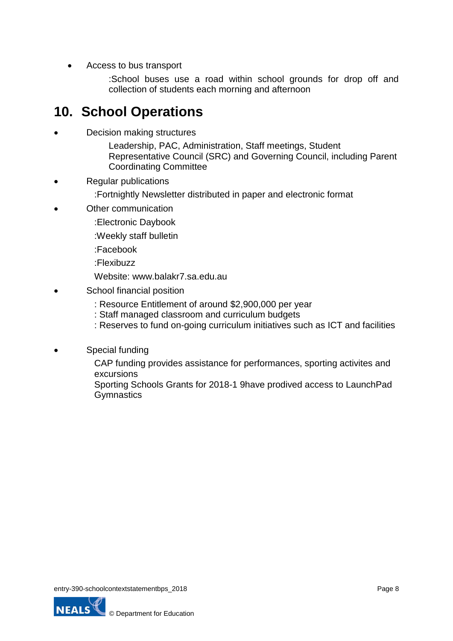• Access to bus transport

:School buses use a road within school grounds for drop off and collection of students each morning and afternoon

#### **10. School Operations**

Decision making structures

Leadership, PAC, Administration, Staff meetings, Student Representative Council (SRC) and Governing Council, including Parent Coordinating Committee

Regular publications

:Fortnightly Newsletter distributed in paper and electronic format

- Other communication
	- :Electronic Daybook
	- :Weekly staff bulletin
	- :Facebook
	- :Flexibuzz
	- Website: www.balakr7.sa.edu.au
- School financial position
	- : Resource Entitlement of around \$2,900,000 per year
	- : Staff managed classroom and curriculum budgets
	- : Reserves to fund on-going curriculum initiatives such as ICT and facilities
- Special funding

CAP funding provides assistance for performances, sporting activites and excursions

Sporting Schools Grants for 2018-1 9have prodived access to LaunchPad **Gymnastics** 

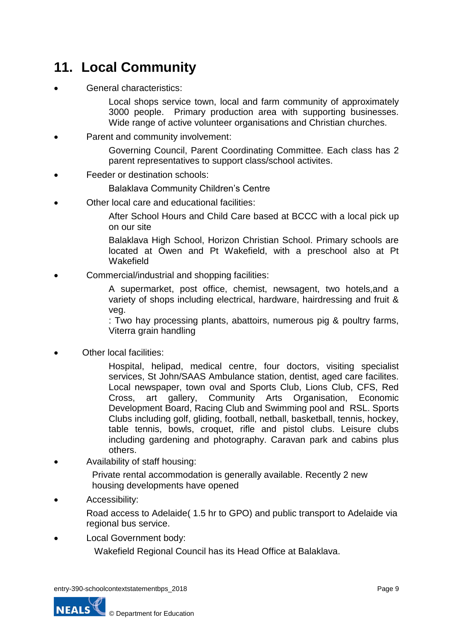## **11. Local Community**

General characteristics:

Local shops service town, local and farm community of approximately 3000 people. Primary production area with supporting businesses. Wide range of active volunteer organisations and Christian churches.

Parent and community involvement:

Governing Council, Parent Coordinating Committee. Each class has 2 parent representatives to support class/school activites.

Feeder or destination schools:

Balaklava Community Children's Centre

Other local care and educational facilities:

After School Hours and Child Care based at BCCC with a local pick up on our site

Balaklava High School, Horizon Christian School. Primary schools are located at Owen and Pt Wakefield, with a preschool also at Pt **Wakefield** 

Commercial/industrial and shopping facilities:

A supermarket, post office, chemist, newsagent, two hotels,and a variety of shops including electrical, hardware, hairdressing and fruit & veg.

: Two hay processing plants, abattoirs, numerous pig & poultry farms, Viterra grain handling

Other local facilities:

Hospital, helipad, medical centre, four doctors, visiting specialist services, St John/SAAS Ambulance station, dentist, aged care facilites. Local newspaper, town oval and Sports Club, Lions Club, CFS, Red Cross, art gallery, Community Arts Organisation, Economic Development Board, Racing Club and Swimming pool and RSL. Sports Clubs including golf, gliding, football, netball, basketball, tennis, hockey, table tennis, bowls, croquet, rifle and pistol clubs. Leisure clubs including gardening and photography. Caravan park and cabins plus others.

Availability of staff housing:

Private rental accommodation is generally available. Recently 2 new housing developments have opened

Accessibility:

Road access to Adelaide( 1.5 hr to GPO) and public transport to Adelaide via regional bus service.

Local Government body:

Wakefield Regional Council has its Head Office at Balaklava.